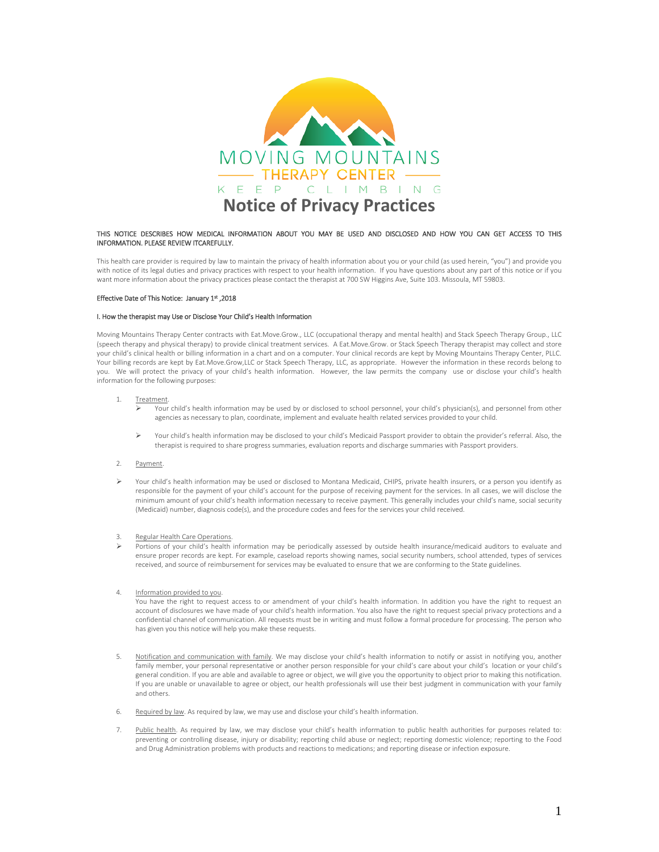

### THIS NOTICE DESCRIBES HOW MEDICAL INFORMATION ABOUT YOU MAY BE USED AND DISCLOSED AND HOW YOU CAN GET ACCESS TO THIS INFORMATION. PLEASE REVIEW ITCAREFULLY.

This health care provider is required by law to maintain the privacy of health information about you or your child (as used herein, "you") and provide you with notice of its legal duties and privacy practices with respect to your health information. If you have questions about any part of this notice or if you want more information about the privacy practices please contact the therapist at 700 SW Higgins Ave, Suite 103. Missoula, MT 59803.

### Effective Date of This Notice: January 1st ,2018

# I. How the therapist may Use or Disclose Your Child's Health Information

Moving Mountains Therapy Center contracts with Eat.Move.Grow., LLC (occupational therapy and mental health) and Stack Speech Therapy Group., LLC (speech therapy and physical therapy) to provide clinical treatment services. A Eat.Move.Grow. or Stack Speech Therapy therapist may collect and store your child's clinical health or billing information in a chart and on a computer. Your clinical records are kept by Moving Mountains Therapy Center, PLLC. Your billing records are kept by Eat.Move.Grow,LLC or Stack Speech Therapy, LLC, as appropriate. However the information in these records belong to you. We will protect the privacy of your child's health information. However, the law permits the company use or disclose your child's health information for the following purposes:

### 1. Treatment.

- Your child's health information may be used by or disclosed to school personnel, your child's physician(s), and personnel from other agencies as necessary to plan, coordinate, implement and evaluate health related services provided to your child.
- Your child's health information may be disclosed to your child's Medicaid Passport provider to obtain the provider's referral. Also, the therapist is required to share progress summaries, evaluation reports and discharge summaries with Passport providers.

## 2. Payment.

Your child's health information may be used or disclosed to Montana Medicaid, CHIPS, private health insurers, or a person you identify as responsible for the payment of your child's account for the purpose of receiving payment for the services. In all cases, we will disclose the minimum amount of your child's health information necessary to receive payment. This generally includes your child's name, social security (Medicaid) number, diagnosis code(s), and the procedure codes and fees for the services your child received.

# 3. Regular Health Care Operations.

 Portions of your child's health information may be periodically assessed by outside health insurance/medicaid auditors to evaluate and ensure proper records are kept. For example, caseload reports showing names, social security numbers, school attended, types of services received, and source of reimbursement for services may be evaluated to ensure that we are conforming to the State guidelines.

# 4. Information provided to you.

You have the right to request access to or amendment of your child's health information. In addition you have the right to request an account of disclosures we have made of your child's health information. You also have the right to request special privacy protections and a confidential channel of communication. All requests must be in writing and must follow a formal procedure for processing. The person who has given you this notice will help you make these requests.

- 5. Notification and communication with family. We may disclose your child's health information to notify or assist in notifying you, another family member, your personal representative or another person responsible for your child's care about your child's location or your child's general condition. If you are able and available to agree or object, we will give you the opportunity to object prior to making this notification. If you are unable or unavailable to agree or object, our health professionals will use their best judgment in communication with your family and others.
- 6. Required by law. As required by law, we may use and disclose your child's health information.
- 7. Public health. As required by law, we may disclose your child's health information to public health authorities for purposes related to: preventing or controlling disease, injury or disability; reporting child abuse or neglect; reporting domestic violence; reporting to the Food and Drug Administration problems with products and reactions to medications; and reporting disease or infection exposure.